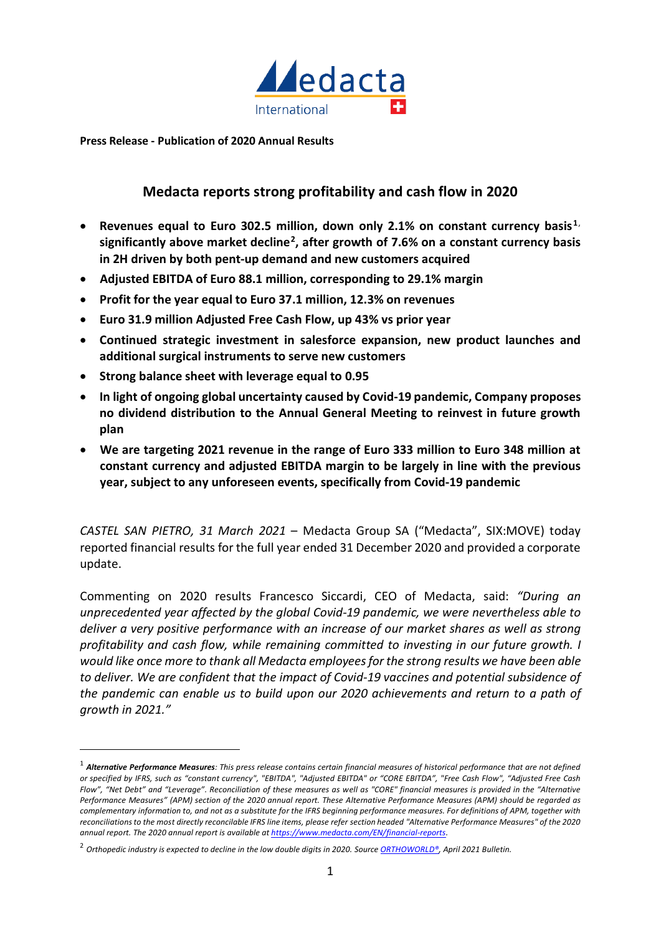

**Press Release - Publication of 2020 Annual Results** 

# **Medacta reports strong profitability and cash flow in 2020**

- **Revenues equal to Euro 302.5 million, down only 2.1% on constant currency basis[1](#page-0-0)**, **significantly above market decline[2](#page-0-1) , after growth of 7.6% on a constant currency basis in 2H driven by both pent-up demand and new customers acquired**
- **Adjusted EBITDA of Euro 88.1 million, corresponding to 29.1% margin**
- **Profit for the year equal to Euro 37.1 million, 12.3% on revenues**
- **Euro 31.9 million Adjusted Free Cash Flow, up 43% vs prior year**
- **Continued strategic investment in salesforce expansion, new product launches and additional surgical instruments to serve new customers**
- **Strong balance sheet with leverage equal to 0.95**
- **In light of ongoing global uncertainty caused by Covid-19 pandemic, Company proposes no dividend distribution to the Annual General Meeting to reinvest in future growth plan**
- **We are targeting 2021 revenue in the range of Euro 333 million to Euro 348 million at constant currency and adjusted EBITDA margin to be largely in line with the previous year, subject to any unforeseen events, specifically from Covid-19 pandemic**

*CASTEL SAN PIETRO, 31 March 2021* – Medacta Group SA ("Medacta", SIX:MOVE) today reported financial results for the full year ended 31 December 2020 and provided a corporate update.

Commenting on 2020 results Francesco Siccardi, CEO of Medacta, said: *"During an unprecedented year affected by the global Covid-19 pandemic, we were nevertheless able to deliver a very positive performance with an increase of our market shares as well as strong profitability and cash flow, while remaining committed to investing in our future growth. I would like once more to thank all Medacta employees for the strong results we have been able to deliver. We are confident that the impact of Covid-19 vaccines and potential subsidence of the pandemic can enable us to build upon our 2020 achievements and return to a path of growth in 2021."* 

<span id="page-0-0"></span><sup>1</sup> *Alternative Performance Measures: This press release contains certain financial measures of historical performance that are not defined or specified by IFRS, such as "constant currency", "EBITDA", "Adjusted EBITDA" or "CORE EBITDA", "Free Cash Flow", "Adjusted Free Cash Flow", "Net Debt" and "Leverage". Reconciliation of these measures as well as "CORE" financial measures is provided in the "Alternative Performance Measures" (APM) section of the 2020 annual report. These Alternative Performance Measures (APM) should be regarded as complementary information to, and not as a substitute for the IFRS beginning performance measures. For definitions of APM, together with reconciliations to the most directly reconcilable IFRS line items, please refer section headed "Alternative Performance Measures" of the 2020 annual report. The 2020 annual report is available a[t https://www.medacta.com/EN/financial-reports.](https://www.medacta.com/EN/financial-reports)*

<span id="page-0-1"></span><sup>2</sup> *Orthopedic industry is expected to decline in the low double digits in 2020. Source [ORTHOWORLD®,](file://srv-fs02/homefolder/larana$/IR%20activity/Press%20releases/2021/210331%20FY20%20results/O%20https:/www.orthoworld.com/%20RTHOWORLD) April 2021 Bulletin.*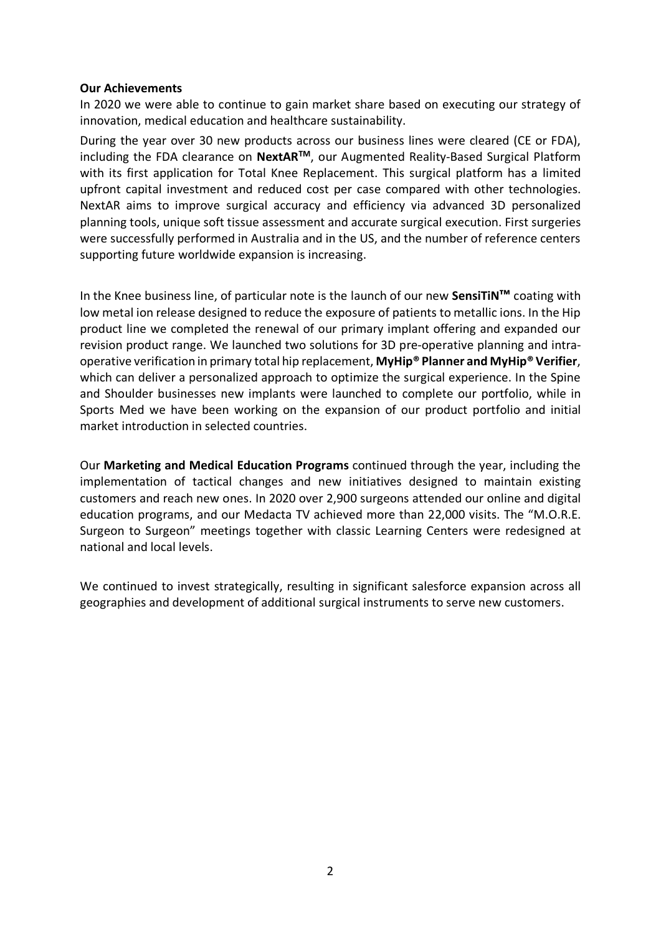## **Our Achievements**

In 2020 we were able to continue to gain market share based on executing our strategy of innovation, medical education and healthcare sustainability.

During the year over 30 new products across our business lines were cleared (CE or FDA), including the FDA clearance on **NextARTM**, our Augmented Reality-Based Surgical Platform with its first application for Total Knee Replacement. This surgical platform has a limited upfront capital investment and reduced cost per case compared with other technologies. NextAR aims to improve surgical accuracy and efficiency via advanced 3D personalized planning tools, unique soft tissue assessment and accurate surgical execution. First surgeries were successfully performed in Australia and in the US, and the number of reference centers supporting future worldwide expansion is increasing.

In the Knee business line, of particular note is the launch of our new **SensiTiN™** coating with low metal ion release designed to reduce the exposure of patients to metallic ions. In the Hip product line we completed the renewal of our primary implant offering and expanded our revision product range. We launched two solutions for 3D pre-operative planning and intraoperative verification in primary total hip replacement, **MyHip® Planner and MyHip® Verifier**, which can deliver a personalized approach to optimize the surgical experience. In the Spine and Shoulder businesses new implants were launched to complete our portfolio, while in Sports Med we have been working on the expansion of our product portfolio and initial market introduction in selected countries.

Our **Marketing and Medical Education Programs** continued through the year, including the implementation of tactical changes and new initiatives designed to maintain existing customers and reach new ones. In 2020 over 2,900 surgeons attended our online and digital education programs, and our Medacta TV achieved more than 22,000 visits. The "M.O.R.E. Surgeon to Surgeon" meetings together with classic Learning Centers were redesigned at national and local levels.

We continued to invest strategically, resulting in significant salesforce expansion across all geographies and development of additional surgical instruments to serve new customers.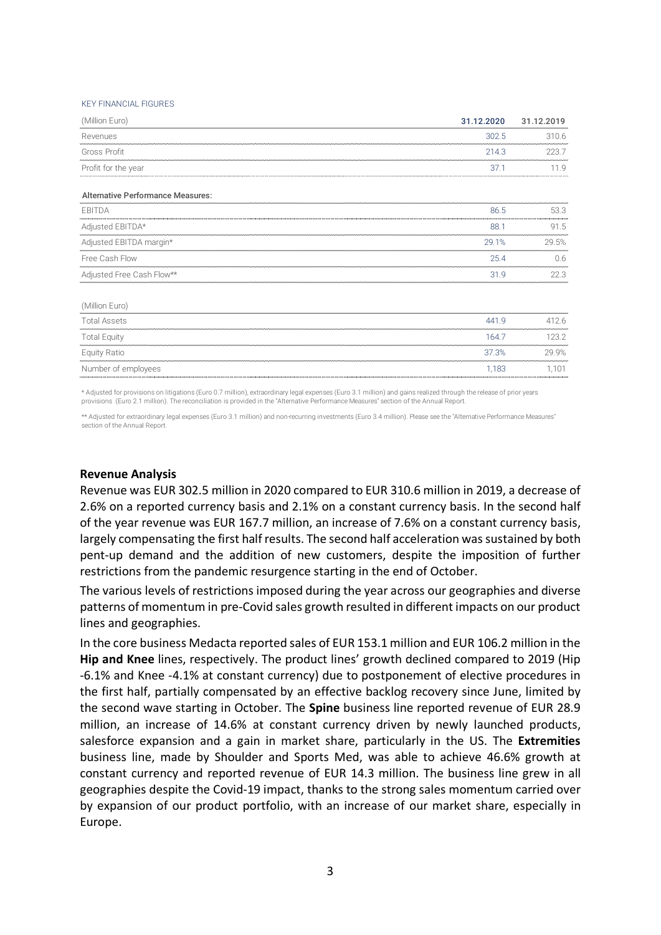#### KEY FINANCIAL FIGURES

| (Million Euro)                           | 31.12.2020 | 31.12.2019 |
|------------------------------------------|------------|------------|
| Revenues                                 | 302.5      | 310.6      |
| Gross Profit                             | 214.3      | 223.7      |
| Profit for the year                      | 37.1       | 11.9       |
| <b>Alternative Performance Measures:</b> |            |            |
| EBITDA                                   | 86.5       | 53.3       |
| Adjusted EBITDA*                         | 88.1       | 91.5       |
| Adjusted EBITDA margin*                  | 29.1%      | 29.5%      |
| Free Cash Flow                           | 25.4       | 0.6        |
| Adjusted Free Cash Flow**                | 31.9       | 22.3       |
| (Million Euro)                           |            |            |
| <b>Total Assets</b>                      | 441.9      | 412.6      |
| <b>Total Equity</b>                      | 164.7      | 123.2      |

\* Adjusted for provisions on litigations (Euro 0.7 million), extraordinary legal expenses (Euro 3.1 million) and gains realized through the release of prior years provisions (Euro 2.1 million). The reconciliation is provided in the "Alternative Performance Measures" section of the Annual Report.

Equity Ratio 37.3% 29.9% Number of employees and the state of employees and the state of employees and the state of employees and the state of employees and the state of the state of the state of the state of the state of the state of the state of

\*\* Adjusted for extraordinary legal expenses (Euro 3.1 million) and non-recurring investments (Euro 3.4 million). Please see the "Alternative Performance Measures" section of the Annual Report

#### **Revenue Analysis**

Revenue was EUR 302.5 million in 2020 compared to EUR 310.6 million in 2019, a decrease of 2.6% on a reported currency basis and 2.1% on a constant currency basis. In the second half of the year revenue was EUR 167.7 million, an increase of 7.6% on a constant currency basis, largely compensating the first half results. The second half acceleration was sustained by both pent-up demand and the addition of new customers, despite the imposition of further restrictions from the pandemic resurgence starting in the end of October.

The various levels of restrictions imposed during the year across our geographies and diverse patterns of momentum in pre-Covid sales growth resulted in different impacts on our product lines and geographies.

In the core business Medacta reported sales of EUR 153.1 million and EUR 106.2 million in the **Hip and Knee** lines, respectively. The product lines' growth declined compared to 2019 (Hip -6.1% and Knee -4.1% at constant currency) due to postponement of elective procedures in the first half, partially compensated by an effective backlog recovery since June, limited by the second wave starting in October. The **Spine** business line reported revenue of EUR 28.9 million, an increase of 14.6% at constant currency driven by newly launched products, salesforce expansion and a gain in market share, particularly in the US. The **Extremities** business line, made by Shoulder and Sports Med, was able to achieve 46.6% growth at constant currency and reported revenue of EUR 14.3 million. The business line grew in all geographies despite the Covid-19 impact, thanks to the strong sales momentum carried over by expansion of our product portfolio, with an increase of our market share, especially in Europe.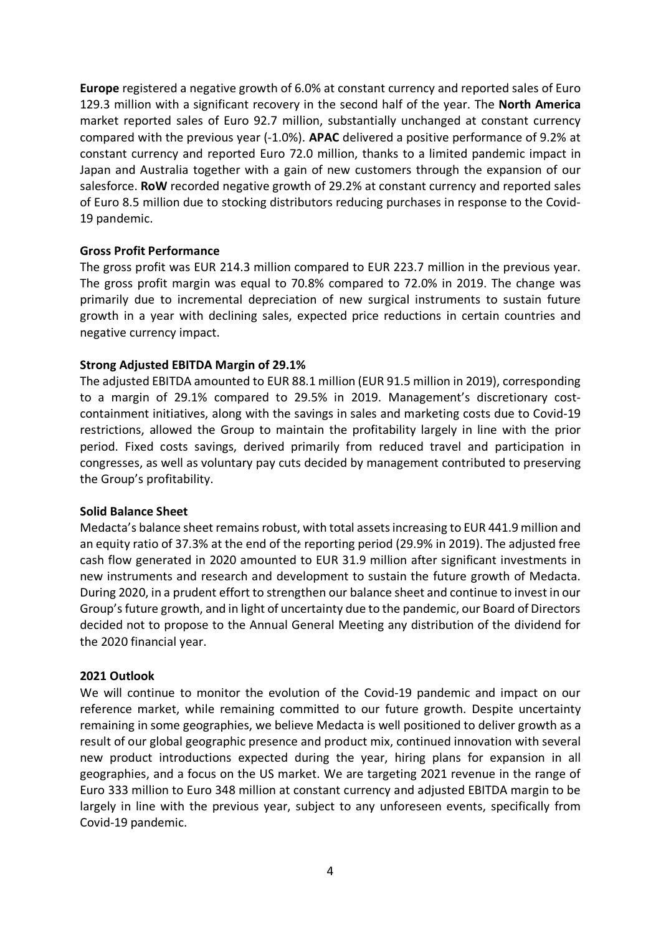**Europe** registered a negative growth of 6.0% at constant currency and reported sales of Euro 129.3 million with a significant recovery in the second half of the year. The **North America** market reported sales of Euro 92.7 million, substantially unchanged at constant currency compared with the previous year (-1.0%). **APAC** delivered a positive performance of 9.2% at constant currency and reported Euro 72.0 million, thanks to a limited pandemic impact in Japan and Australia together with a gain of new customers through the expansion of our salesforce. **RoW** recorded negative growth of 29.2% at constant currency and reported sales of Euro 8.5 million due to stocking distributors reducing purchases in response to the Covid-19 pandemic.

## **Gross Profit Performance**

The gross profit was EUR 214.3 million compared to EUR 223.7 million in the previous year. The gross profit margin was equal to 70.8% compared to 72.0% in 2019. The change was primarily due to incremental depreciation of new surgical instruments to sustain future growth in a year with declining sales, expected price reductions in certain countries and negative currency impact.

## **Strong Adjusted EBITDA Margin of 29.1%**

The adjusted EBITDA amounted to EUR 88.1 million (EUR 91.5 million in 2019), corresponding to a margin of 29.1% compared to 29.5% in 2019. Management's discretionary costcontainment initiatives, along with the savings in sales and marketing costs due to Covid-19 restrictions, allowed the Group to maintain the profitability largely in line with the prior period. Fixed costs savings, derived primarily from reduced travel and participation in congresses, as well as voluntary pay cuts decided by management contributed to preserving the Group's profitability.

## **Solid Balance Sheet**

Medacta's balance sheet remains robust, with total assets increasing to EUR 441.9 million and an equity ratio of 37.3% at the end of the reporting period (29.9% in 2019). The adjusted free cash flow generated in 2020 amounted to EUR 31.9 million after significant investments in new instruments and research and development to sustain the future growth of Medacta. During 2020, in a prudent effort to strengthen our balance sheet and continue to invest in our Group's future growth, and in light of uncertainty due to the pandemic, our Board of Directors decided not to propose to the Annual General Meeting any distribution of the dividend for the 2020 financial year.

## **2021 Outlook**

We will continue to monitor the evolution of the Covid-19 pandemic and impact on our reference market, while remaining committed to our future growth. Despite uncertainty remaining in some geographies, we believe Medacta is well positioned to deliver growth as a result of our global geographic presence and product mix, continued innovation with several new product introductions expected during the year, hiring plans for expansion in all geographies, and a focus on the US market. We are targeting 2021 revenue in the range of Euro 333 million to Euro 348 million at constant currency and adjusted EBITDA margin to be largely in line with the previous year, subject to any unforeseen events, specifically from Covid-19 pandemic.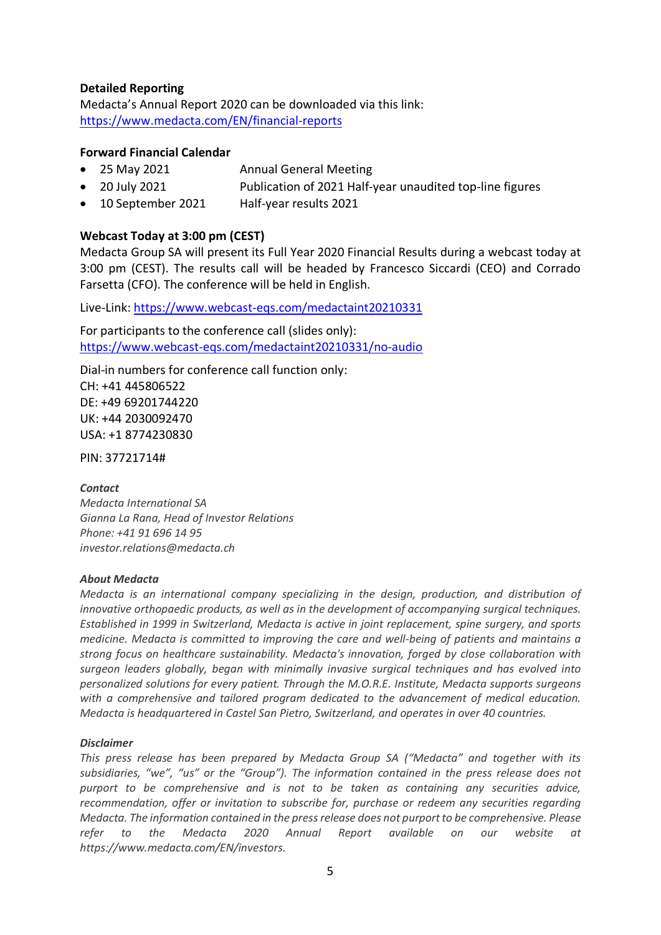## **Detailed Reporting**

Medacta's Annual Report 2020 can be downloaded via this link: <https://www.medacta.com/EN/financial-reports>

## **Forward Financial Calendar**

- 25 May 2021 Annual General Meeting
- 20 July 2021 Publication of 2021 Half-year unaudited top-line figures
- 10 September 2021 Half-year results 2021

## **Webcast Today at 3:00 pm (CEST)**

Medacta Group SA will present its Full Year 2020 Financial Results during a webcast today at 3:00 pm (CEST). The results call will be headed by Francesco Siccardi (CEO) and Corrado Farsetta (CFO). The conference will be held in English.

Live-Link:<https://www.webcast-eqs.com/medactaint20210331>

For participants to the conference call (slides only): <https://www.webcast-eqs.com/medactaint20210331/no-audio>

Dial-in numbers for conference call function only: CH: +41 445806522 DE: +49 69201744220 UK: +44 2030092470 USA: +1 8774230830

PIN: 37721714#

## *Contact*

*Medacta International SA Gianna La Rana, Head of Investor Relations Phone: +41 91 696 14 95 investor.relations@medacta.ch*

## *About Medacta*

*Medacta is an international company specializing in the design, production, and distribution of innovative orthopaedic products, as well as in the development of accompanying surgical techniques. Established in 1999 in Switzerland, Medacta is active in joint replacement, spine surgery, and sports medicine. Medacta is committed to improving the care and well-being of patients and maintains a strong focus on healthcare sustainability. Medacta's innovation, forged by close collaboration with surgeon leaders globally, began with minimally invasive surgical techniques and has evolved into personalized solutions for every patient. Through the M.O.R.E. Institute, Medacta supports surgeons with a comprehensive and tailored program dedicated to the advancement of medical education. Medacta is headquartered in Castel San Pietro, Switzerland, and operates in over 40 countries.*

## *Disclaimer*

*This press release has been prepared by Medacta Group SA ("Medacta" and together with its subsidiaries, "we", "us" or the "Group"). The information contained in the press release does not purport to be comprehensive and is not to be taken as containing any securities advice, recommendation, offer or invitation to subscribe for, purchase or redeem any securities regarding Medacta. The information contained in the press release does not purport to be comprehensive. Please refer to the Medacta 2020 Annual Report available on our website at [https://www.medacta.com/EN/investors.](https://www.medacta.com/EN/investors)*